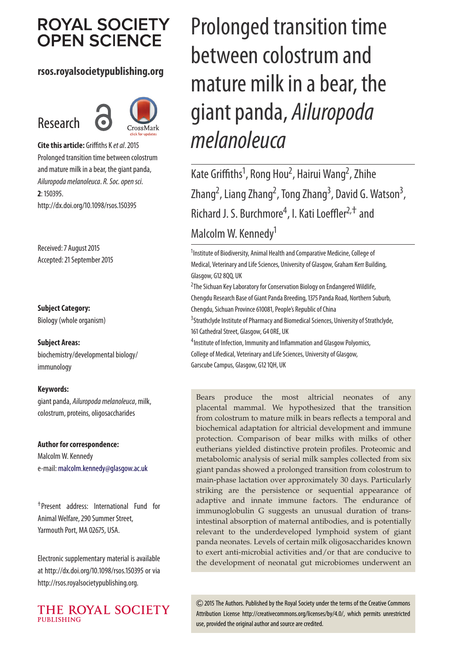# **ROYAL SOCIETY OPEN SCIENCE**

### **rsos.royalsocietypublishing.org**

# Research



**Cite this article:** Griffiths K et al. 2015 Prolonged transition time between colostrum and mature milk in a bear, the giant panda, Ailuropoda melanoleuca. R. Soc. open sci. **2**: 150395. http://dx.doi.org/10.1098/rsos.150395

Received: 7 August 2015 Accepted: 21 September 2015

#### **Subject Category:**

Biology (whole organism)

#### **Subject Areas:**

biochemistry/developmental biology/ immunology

#### **Keywords:**

giant panda, Ailuropoda melanoleuca, milk, colostrum, proteins, oligosaccharides

#### **Author for correspondence:**

Malcolm W. Kennedy e-mail: [malcolm.kennedy@glasgow.ac.uk](mailto:malcolm.kennedy@glasgow.ac.uk)

†Present address: International Fund for Animal Welfare, 290 Summer Street, Yarmouth Port, MA 02675, USA.

Electronic supplementary material is available at http://dx.doi.org/10.1098/rsos.150395 or via http://rsos.royalsocietypublishing.org.



# Prolonged transition time between colostrum and mature milk in a bear, the giant panda, Ailuropoda melanoleuca

Kate Griffiths<sup>1</sup>, Rong Hou<sup>2</sup>, Hairui Wang<sup>2</sup>, Zhihe Zhang<sup>2</sup>, Liang Zhang<sup>2</sup>, Tong Zhang<sup>3</sup>, David G. Watson<sup>3</sup> , Richard J. S. Burchmore<sup>4</sup>, I. Kati Loeffler<sup>2,†</sup> and Malcolm W. Kennedy<sup>1</sup>

<sup>1</sup> Institute of Biodiversity, Animal Health and Comparative Medicine, College of Medical, Veterinary and Life Sciences, University of Glasgow, Graham Kerr Building, Glasgow, G12 8QQ, UK <sup>2</sup>The Sichuan Key Laboratory for Conservation Biology on Endangered Wildlife, Chengdu Research Base of Giant Panda Breeding, 1375 Panda Road, Northern Suburb, Chengdu, Sichuan Province 610081, People's Republic of China <sup>3</sup>Strathclyde Institute of Pharmacy and Biomedical Sciences, University of Strathclyde, 161 Cathedral Street, Glasgow, G4 0RE, UK <sup>4</sup>Institute of Infection, Immunity and Inflammation and Glasgow Polyomics, College of Medical, Veterinary and Life Sciences, University of Glasgow, Garscube Campus, Glasgow, G12 1QH, UK

Bears produce the most altricial neonates of any placental mammal. We hypothesized that the transition from colostrum to mature milk in bears reflects a temporal and biochemical adaptation for altricial development and immune protection. Comparison of bear milks with milks of other eutherians yielded distinctive protein profiles. Proteomic and metabolomic analysis of serial milk samples collected from six giant pandas showed a prolonged transition from colostrum to main-phase lactation over approximately 30 days. Particularly striking are the persistence or sequential appearance of adaptive and innate immune factors. The endurance of immunoglobulin G suggests an unusual duration of transintestinal absorption of maternal antibodies, and is potentially relevant to the underdeveloped lymphoid system of giant panda neonates. Levels of certain milk oligosaccharides known to exert anti-microbial activities and/or that are conducive to the development of neonatal gut microbiomes underwent an

2015 The Authors. Published by the Royal Society under the terms of the Creative Commons Attribution License http://creativecommons.org/licenses/by/4.0/, which permits unrestricted use, provided the original author and source are credited.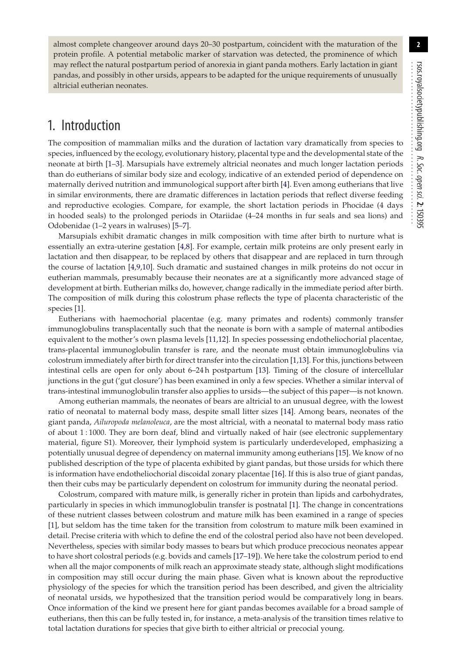almost complete changeover around days 20–30 postpartum, coincident with the maturation of the protein profile. A potential metabolic marker of starvation was detected, the prominence of which may reflect the natural postpartum period of anorexia in giant panda mothers. Early lactation in giant pandas, and possibly in other ursids, appears to be adapted for the unique requirements of unusually altricial eutherian neonates.

# 1. Introduction

The composition of mammalian milks and the duration of lactation vary dramatically from species to species, influenced by the ecology, evolutionary history, placental type and the developmental state of the neonate at birth [\[1–](#page-11-0)[3\]](#page-11-1). Marsupials have extremely altricial neonates and much longer lactation periods than do eutherians of similar body size and ecology, indicative of an extended period of dependence on maternally derived nutrition and immunological support after birth [\[4\]](#page-11-2). Even among eutherians that live in similar environments, there are dramatic differences in lactation periods that reflect diverse feeding and reproductive ecologies. Compare, for example, the short lactation periods in Phocidae (4 days in hooded seals) to the prolonged periods in Otariidae (4–24 months in fur seals and sea lions) and Odobenidae (1–2 years in walruses) [\[5](#page-11-3)[–7\]](#page-11-4).

Marsupials exhibit dramatic changes in milk composition with time after birth to nurture what is essentially an extra-uterine gestation [\[4](#page-11-2)[,8\]](#page-12-0). For example, certain milk proteins are only present early in lactation and then disappear, to be replaced by others that disappear and are replaced in turn through the course of lactation [\[4,](#page-11-2)[9,](#page-12-1)[10\]](#page-12-2). Such dramatic and sustained changes in milk proteins do not occur in eutherian mammals, presumably because their neonates are at a significantly more advanced stage of development at birth. Eutherian milks do, however, change radically in the immediate period after birth. The composition of milk during this colostrum phase reflects the type of placenta characteristic of the species [\[1\]](#page-11-0).

Eutherians with haemochorial placentae (e.g. many primates and rodents) commonly transfer immunoglobulins transplacentally such that the neonate is born with a sample of maternal antibodies equivalent to the mother's own plasma levels [\[11](#page-12-3)[,12\]](#page-12-4). In species possessing endotheliochorial placentae, trans-placental immunoglobulin transfer is rare, and the neonate must obtain immunoglobulins via colostrum immediately after birth for direct transfer into the circulation [\[1,](#page-11-0)[13\]](#page-12-5). For this, junctions between intestinal cells are open for only about 6–24 h postpartum [\[13\]](#page-12-5). Timing of the closure of intercellular junctions in the gut ('gut closure') has been examined in only a few species. Whether a similar interval of trans-intestinal immunoglobulin transfer also applies to ursids—the subject of this paper—is not known.

Among eutherian mammals, the neonates of bears are altricial to an unusual degree, with the lowest ratio of neonatal to maternal body mass, despite small litter sizes [\[14\]](#page-12-6). Among bears, neonates of the giant panda, *Ailuropoda melanoleuca*, are the most altricial, with a neonatal to maternal body mass ratio of about 1 : 1000. They are born deaf, blind and virtually naked of hair (see electronic supplementary material, figure S1). Moreover, their lymphoid system is particularly underdeveloped, emphasizing a potentially unusual degree of dependency on maternal immunity among eutherians [\[15\]](#page-12-7). We know of no published description of the type of placenta exhibited by giant pandas, but those ursids for which there is information have endotheliochorial discoidal zonary placentae [\[16\]](#page-12-8). If this is also true of giant pandas, then their cubs may be particularly dependent on colostrum for immunity during the neonatal period.

Colostrum, compared with mature milk, is generally richer in protein than lipids and carbohydrates, particularly in species in which immunoglobulin transfer is postnatal [\[1\]](#page-11-0). The change in concentrations of these nutrient classes between colostrum and mature milk has been examined in a range of species [\[1\]](#page-11-0), but seldom has the time taken for the transition from colostrum to mature milk been examined in detail. Precise criteria with which to define the end of the colostral period also have not been developed. Nevertheless, species with similar body masses to bears but which produce precocious neonates appear to have short colostral periods (e.g. bovids and camels [\[17–](#page-12-9)[19\]](#page-12-10)). We here take the colostrum period to end when all the major components of milk reach an approximate steady state, although slight modifications in composition may still occur during the main phase. Given what is known about the reproductive physiology of the species for which the transition period has been described, and given the altriciality of neonatal ursids, we hypothesized that the transition period would be comparatively long in bears. Once information of the kind we present here for giant pandas becomes available for a broad sample of eutherians, then this can be fully tested in, for instance, a meta-analysis of the transition times relative to total lactation durations for species that give birth to either altricial or precocial young.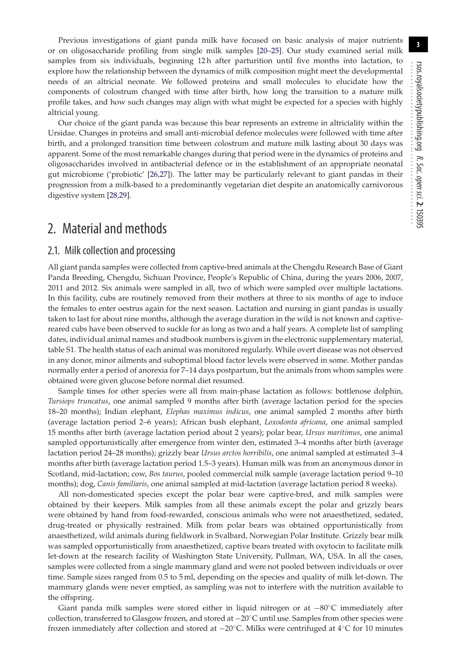**3**

Previous investigations of giant panda milk have focused on basic analysis of major nutrients or on oligosaccharide profiling from single milk samples [\[20–](#page-12-11)[25\]](#page-12-12). Our study examined serial milk samples from six individuals, beginning 12h after parturition until five months into lactation, to explore how the relationship between the dynamics of milk composition might meet the developmental needs of an altricial neonate. We followed proteins and small molecules to elucidate how the components of colostrum changed with time after birth, how long the transition to a mature milk profile takes, and how such changes may align with what might be expected for a species with highly altricial young.

Our choice of the giant panda was because this bear represents an extreme in altriciality within the Ursidae. Changes in proteins and small anti-microbial defence molecules were followed with time after birth, and a prolonged transition time between colostrum and mature milk lasting about 30 days was apparent. Some of the most remarkable changes during that period were in the dynamics of proteins and oligosaccharides involved in antibacterial defence or in the establishment of an appropriate neonatal gut microbiome ('probiotic' [\[26,](#page-12-13)[27\]](#page-12-14)). The latter may be particularly relevant to giant pandas in their progression from a milk-based to a predominantly vegetarian diet despite an anatomically carnivorous digestive system [\[28,](#page-12-15)[29\]](#page-12-16).

# 2. Material and methods

#### 2.1. Milk collection and processing

All giant panda samples were collected from captive-bred animals at the Chengdu Research Base of Giant Panda Breeding, Chengdu, Sichuan Province, People's Republic of China, during the years 2006, 2007, 2011 and 2012. Six animals were sampled in all, two of which were sampled over multiple lactations. In this facility, cubs are routinely removed from their mothers at three to six months of age to induce the females to enter oestrus again for the next season. Lactation and nursing in giant pandas is usually taken to last for about nine months, although the average duration in the wild is not known and captivereared cubs have been observed to suckle for as long as two and a half years. A complete list of sampling dates, individual animal names and studbook numbers is given in the electronic supplementary material, table S1. The health status of each animal was monitored regularly. While overt disease was not observed in any donor, minor ailments and suboptimal blood factor levels were observed in some. Mother pandas normally enter a period of anorexia for 7–14 days postpartum, but the animals from whom samples were obtained were given glucose before normal diet resumed.

Sample times for other species were all from main-phase lactation as follows: bottlenose dolphin, *Tursiops truncatus*, one animal sampled 9 months after birth (average lactation period for the species 18–20 months); Indian elephant, *Elephas maximus indicus*, one animal sampled 2 months after birth (average lactation period 2–6 years); African bush elephant, *Loxodonta africana*, one animal sampled 15 months after birth (average lactation period about 2 years); polar bear, *Ursus maritimus*, one animal sampled opportunistically after emergence from winter den, estimated 3–4 months after birth (average lactation period 24–28 months); grizzly bear *Ursus arctos horribilis*, one animal sampled at estimated 3–4 months after birth (average lactation period 1.5–3 years). Human milk was from an anonymous donor in Scotland, mid-lactation; cow, *Bos taurus*, pooled commercial milk sample (average lactation period 9–10 months); dog, *Canis familiaris*, one animal sampled at mid-lactation (average lactation period 8 weeks).

All non-domesticated species except the polar bear were captive-bred, and milk samples were obtained by their keepers. Milk samples from all these animals except the polar and grizzly bears were obtained by hand from food-rewarded, conscious animals who were not anaesthetized, sedated, drug-treated or physically restrained. Milk from polar bears was obtained opportunistically from anaesthetized, wild animals during fieldwork in Svalbard, Norwegian Polar Institute. Grizzly bear milk was sampled opportunistically from anaesthetized, captive bears treated with oxytocin to facilitate milk let-down at the research facility of Washington State University, Pullman, WA, USA. In all the cases, samples were collected from a single mammary gland and were not pooled between individuals or over time. Sample sizes ranged from 0.5 to 5 ml, depending on the species and quality of milk let-down. The mammary glands were never emptied, as sampling was not to interfere with the nutrition available to the offspring.

Giant panda milk samples were stored either in liquid nitrogen or at −80◦C immediately after collection, transferred to Glasgow frozen, and stored at −20◦C until use. Samples from other species were frozen immediately after collection and stored at −20◦C. Milks were centrifuged at 4◦C for 10 minutes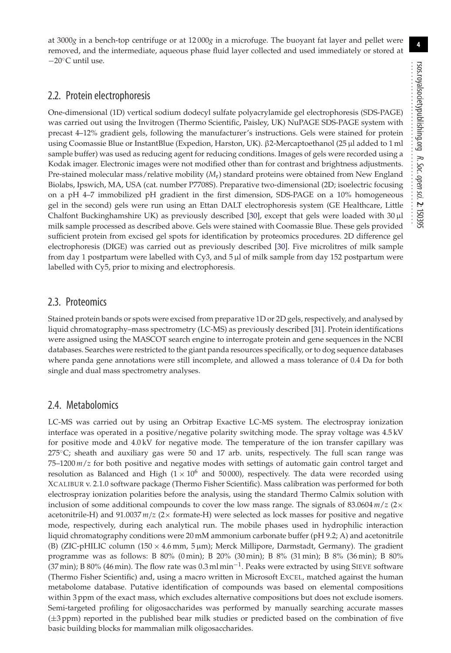rsos.royalsocietypublishing.org R. Soc. open sci.**2**: 150395 ................................................

**4**

at 3000*g* in a bench-top centrifuge or at 12 000*g* in a microfuge. The buoyant fat layer and pellet were removed, and the intermediate, aqueous phase fluid layer collected and used immediately or stored at −20◦C until use.

## 2.2. Protein electrophoresis

One-dimensional (1D) vertical sodium dodecyl sulfate polyacrylamide gel electrophoresis (SDS-PAGE) was carried out using the Invitrogen (Thermo Scientific, Paisley, UK) NuPAGE SDS-PAGE system with precast 4–12% gradient gels, following the manufacturer's instructions. Gels were stained for protein using Coomassie Blue or InstantBlue (Expedion, Harston, UK). β2-Mercaptoethanol (25 μl added to 1 ml sample buffer) was used as reducing agent for reducing conditions. Images of gels were recorded using a Kodak imager. Electronic images were not modified other than for contrast and brightness adjustments. Pre-stained molecular mass/relative mobility (*M*r) standard proteins were obtained from New England Biolabs, Ipswich, MA, USA (cat. number P7708S). Preparative two-dimensional (2D; isoelectric focusing on a pH 4–7 immobilized pH gradient in the first dimension, SDS-PAGE on a 10% homogeneous gel in the second) gels were run using an Ettan DALT electrophoresis system (GE Healthcare, Little Chalfont Buckinghamshire UK) as previously described [\[30\]](#page-12-17), except that gels were loaded with 30 μl milk sample processed as described above. Gels were stained with Coomassie Blue. These gels provided sufficient protein from excised gel spots for identification by proteomics procedures. 2D difference gel electrophoresis (DIGE) was carried out as previously described [\[30\]](#page-12-17). Five microlitres of milk sample from day 1 postpartum were labelled with Cy3, and 5 μl of milk sample from day 152 postpartum were labelled with Cy5, prior to mixing and electrophoresis.

### 2.3. Proteomics

Stained protein bands or spots were excised from preparative 1D or 2D gels, respectively, and analysed by liquid chromatography–mass spectrometry (LC-MS) as previously described [\[31\]](#page-12-18). Protein identifications were assigned using the MASCOT search engine to interrogate protein and gene sequences in the NCBI databases. Searches were restricted to the giant panda resources specifically, or to dog sequence databases where panda gene annotations were still incomplete, and allowed a mass tolerance of 0.4 Da for both single and dual mass spectrometry analyses.

## 2.4. Metabolomics

LC-MS was carried out by using an Orbitrap Exactive LC-MS system. The electrospray ionization interface was operated in a positive/negative polarity switching mode. The spray voltage was 4.5 kV for positive mode and 4.0 kV for negative mode. The temperature of the ion transfer capillary was  $275^{\circ}$ C; sheath and auxiliary gas were 50 and 17 arb. units, respectively. The full scan range was 75–1200 *m*/*z* for both positive and negative modes with settings of automatic gain control target and resolution as Balanced and High  $(1 \times 10^6$  and 50 000), respectively. The data were recorded using XCALIBUR v. 2.1.0 software package (Thermo Fisher Scientific). Mass calibration was performed for both electrospray ionization polarities before the analysis, using the standard Thermo Calmix solution with inclusion of some additional compounds to cover the low mass range. The signals of  $83.0604$   $m/z$  ( $2\times$ acetonitrile-H) and 91.0037 *m*/*z* (2× formate-H) were selected as lock masses for positive and negative mode, respectively, during each analytical run. The mobile phases used in hydrophilic interaction liquid chromatography conditions were 20 mM ammonium carbonate buffer (pH 9.2; A) and acetonitrile (B) (ZIC-pHILIC column ( $150 \times 4.6$  mm,  $5 \mu$ m); Merck Millipore, Darmstadt, Germany). The gradient programme was as follows: B 80% (0 min); B 20% (30 min); B 8% (31 min); B 8% (36 min); B 80% (37 min); B 80% (46 min). The flow rate was 0.3 ml min−1. Peaks were extracted by using SIEVE software (Thermo Fisher Scientific) and, using a macro written in Microsoft EXCEL, matched against the human metabolome database. Putative identification of compounds was based on elemental compositions within 3 ppm of the exact mass, which excludes alternative compositions but does not exclude isomers. Semi-targeted profiling for oligosaccharides was performed by manually searching accurate masses (±3 ppm) reported in the published bear milk studies or predicted based on the combination of five basic building blocks for mammalian milk oligosaccharides.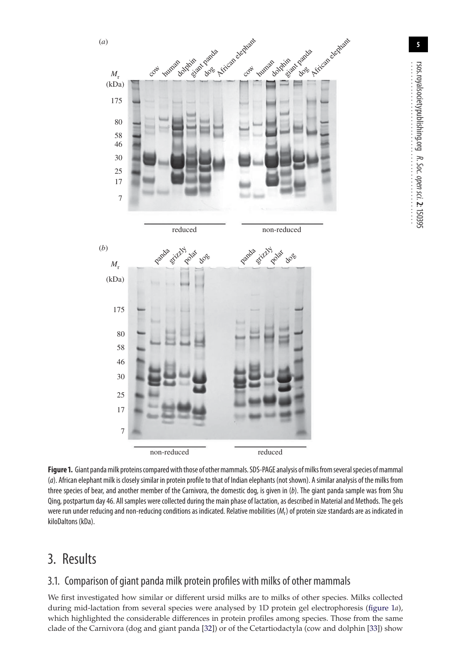

rsos.royalsocietypublishing.org R. Soc. open sci.**2**: 150395 ................................................

**5**

<span id="page-4-0"></span>Figure 1. Giant panda milk proteins compared with those of other mammals. SDS-PAGE analysis of milks from several species of mammal (a). African elephant milk is closely similar in protein profile to that of Indian elephants (not shown). A similar analysis of the milks from three species of bear, and another member of the Carnivora, the domestic dog, is given in (b). The giant panda sample was from Shu Qing, postpartum day 46. All samples were collected during the main phase of lactation, as described in Material and Methods. The gels were run under reducing and non-reducing conditions as indicated. Relative mobilities  $(M<sub>r</sub>)$  of protein size standards are as indicated in kiloDaltons (kDa).

# 3. Results

# 3.1. Comparison of giant panda milk protein profiles with milks of other mammals

We first investigated how similar or different ursid milks are to milks of other species. Milks collected during mid-lactation from several species were analysed by 1D protein gel electrophoresis [\(figure 1](#page-4-0)*a*), which highlighted the considerable differences in protein profiles among species. Those from the same clade of the Carnivora (dog and giant panda [\[32\]](#page-12-19)) or of the Cetartiodactyla (cow and dolphin [\[33\]](#page-12-20)) show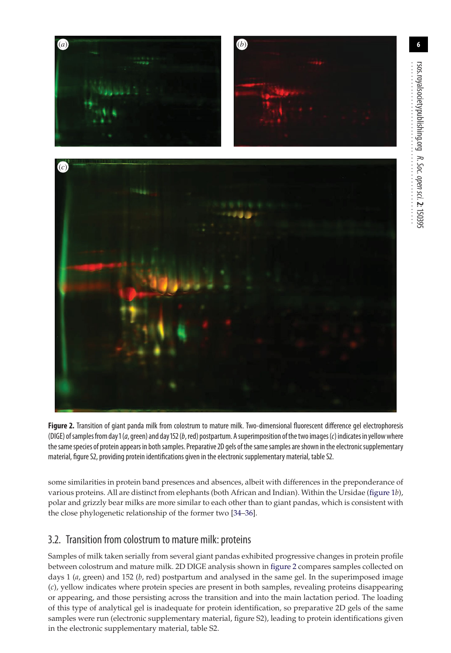**6**

rsos.royalsocietypublishing.org

R. Soc.

open

sci.**2**: 150395



<span id="page-5-0"></span>**Figure 2.** Transition of giant panda milk from colostrum to mature milk. Two-dimensional fluorescent difference gel electrophoresis (DIGE) of samples from day 1 (a, green) and day 152 (b, red) postpartum. A superimposition of the two images (c) indicates in yellow where the same species of protein appears in both samples. Preparative 2D gels of the same samples are shown in the electronic supplementary material, figure S2, providing protein identifications given in the electronic supplementary material, table S2.

some similarities in protein band presences and absences, albeit with differences in the preponderance of various proteins. All are distinct from elephants (both African and Indian). Within the Ursidae [\(figure 1](#page-4-0)*b*), polar and grizzly bear milks are more similar to each other than to giant pandas, which is consistent with the close phylogenetic relationship of the former two [\[34](#page-12-21)[–36\]](#page-12-22).

# 3.2. Transition from colostrum to mature milk: proteins

Samples of milk taken serially from several giant pandas exhibited progressive changes in protein profile between colostrum and mature milk. 2D DIGE analysis shown in [figure 2](#page-5-0) compares samples collected on days 1 (*a*, green) and 152 (*b*, red) postpartum and analysed in the same gel. In the superimposed image (*c*), yellow indicates where protein species are present in both samples, revealing proteins disappearing or appearing, and those persisting across the transition and into the main lactation period. The loading of this type of analytical gel is inadequate for protein identification, so preparative 2D gels of the same samples were run (electronic supplementary material, figure S2), leading to protein identifications given in the electronic supplementary material, table S2.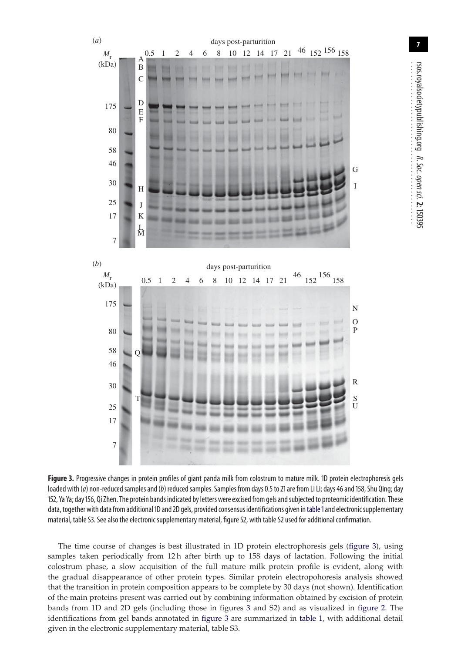

<span id="page-6-0"></span>**Figure 3.** Progressive changes in protein profiles of giant panda milk from colostrum to mature milk. 1D protein electrophoresis gels loaded with (a) non-reduced samples and (b) reduced samples. Samples from days 0.5 to 21 are from Li Li; days 46 and 158, Shu Qing; day 152, Ya Ya; day156, Qi Zhen. The protein bands indicated by letters were excised from gels andsubjected to proteomic identification. These data, together with data from additional 1D and 2D gels, provided consensus identifications given in table 1 and electronic supplementary material, table S3. See also the electronic supplementary material, figure S2, with table S2 used for additional confirmation.

The time course of changes is best illustrated in 1D protein electrophoresis gels [\(figure 3\)](#page-6-0), using samples taken periodically from 12 h after birth up to 158 days of lactation. Following the initial colostrum phase, a slow acquisition of the full mature milk protein profile is evident, along with the gradual disappearance of other protein types. Similar protein electropohoresis analysis showed that the transition in protein composition appears to be complete by 30 days (not shown). Identification of the main proteins present was carried out by combining information obtained by excision of protein bands from 1D and 2D gels (including those in figures [3](#page-6-0) and S2) and as visualized in [figure 2.](#page-5-0) The identifications from gel bands annotated in [figure 3](#page-6-0) are summarized in [table 1,](#page-7-0) with additional detail given in the electronic supplementary material, table S3.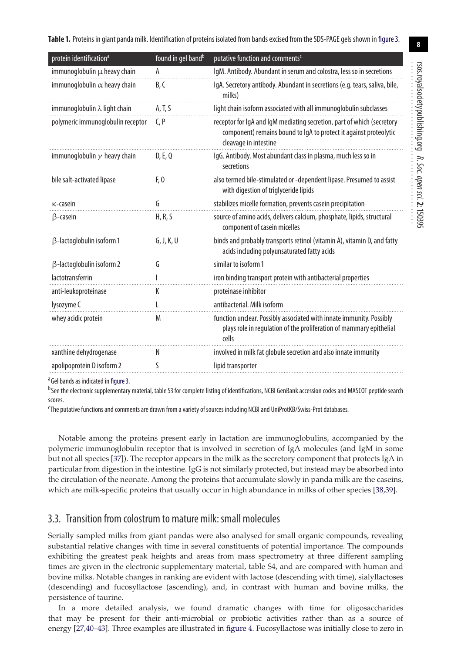<span id="page-7-0"></span>**Table 1.** Proteins in giant panda milk. Identification of proteins isolated from bands excised from the SDS-PAGE gels shown in [figure 3.](#page-6-0)

| protein identification <sup>a</sup>  | found in gel band <sup>b</sup> | putative function and comments <sup>c</sup>                                                                                                                          |
|--------------------------------------|--------------------------------|----------------------------------------------------------------------------------------------------------------------------------------------------------------------|
| immunoglobulin $\mu$ heavy chain     | A                              | IgM. Antibody. Abundant in serum and colostra, less so in secretions                                                                                                 |
| immunoglobulin $\alpha$ heavy chain  | B.C                            | IgA. Secretory antibody. Abundant in secretions (e.g. tears, saliva, bile,<br>milks)                                                                                 |
| immunoglobulin $\lambda$ light chain | A, T, S                        | light chain isoform associated with all immunoglobulin subclasses                                                                                                    |
| polymeric immunoqlobulin receptor    | C.P                            | receptor for IgA and IgM mediating secretion, part of which (secretory<br>component) remains bound to lgA to protect it against proteolytic<br>cleavage in intestine |
| immunoglobulin $\gamma$ heavy chain  | D, E, Q                        | IgG. Antibody. Most abundant class in plasma, much less so in<br>secretions                                                                                          |
| bile salt-activated lipase           | F, 0                           | also termed bile-stimulated or -dependent lipase. Presumed to assist<br>with digestion of triglyceride lipids                                                        |
| $\kappa$ -casein                     | G                              | stabilizes micelle formation, prevents casein precipitation                                                                                                          |
| $\beta$ -casein                      | H, R, S                        | source of amino acids, delivers calcium, phosphate, lipids, structural<br>component of casein micelles                                                               |
| $\beta$ -lactoglobulin isoform 1     | G, J, K, U                     | binds and probably transports retinol (vitamin A), vitamin D, and fatty<br>acids including polyunsaturated fatty acids                                               |
| β-lactoglobulin isoform 2            |                                | similar to isoform 1                                                                                                                                                 |
| lactotransferrin                     |                                | iron binding transport protein with antibacterial properties                                                                                                         |
| anti-leukoproteinase                 | ĸ                              | proteinase inhibitor                                                                                                                                                 |
| lysozyme C                           |                                | antibacterial. Milk isoform                                                                                                                                          |
| whey acidic protein                  | M                              | function unclear. Possibly associated with innate immunity. Possibly<br>plays role in regulation of the proliferation of mammary epithelial<br>cells                 |
| xanthine dehydrogenase               | Ν                              | involved in milk fat globule secretion and also innate immunity                                                                                                      |
| apolipoprotein D isoform 2           | S                              | lipid transporter                                                                                                                                                    |

<sup>a</sup> Gel bands as indicated in [figure 3.](#page-6-0)

bSee the electronic supplementary material, table S3 for complete listing of identifications, NCBI GenBank accession codes and MASCOT peptide search scores.

<sup>c</sup>The putative functions and comments are drawn from a variety of sources including NCBI and UniProtKB/Swiss-Prot databases.

Notable among the proteins present early in lactation are immunoglobulins, accompanied by the polymeric immunoglobulin receptor that is involved in secretion of IgA molecules (and IgM in some but not all species [\[37\]](#page-12-23)). The receptor appears in the milk as the secretory component that protects IgA in particular from digestion in the intestine. IgG is not similarly protected, but instead may be absorbed into the circulation of the neonate. Among the proteins that accumulate slowly in panda milk are the caseins, which are milk-specific proteins that usually occur in high abundance in milks of other species [\[38,](#page-12-24)[39\]](#page-12-25).

#### 3.3. Transition from colostrum to mature milk: small molecules

Serially sampled milks from giant pandas were also analysed for small organic compounds, revealing substantial relative changes with time in several constituents of potential importance. The compounds exhibiting the greatest peak heights and areas from mass spectrometry at three different sampling times are given in the electronic supplementary material, table S4, and are compared with human and bovine milks. Notable changes in ranking are evident with lactose (descending with time), sialyllactoses (descending) and fucosyllactose (ascending), and, in contrast with human and bovine milks, the persistence of taurine.

In a more detailed analysis, we found dramatic changes with time for oligosaccharides that may be present for their anti-microbial or probiotic activities rather than as a source of energy [\[27](#page-12-14)[,40](#page-12-26)[–43\]](#page-12-27). Three examples are illustrated in [figure 4.](#page-8-0) Fucosyllactose was initially close to zero in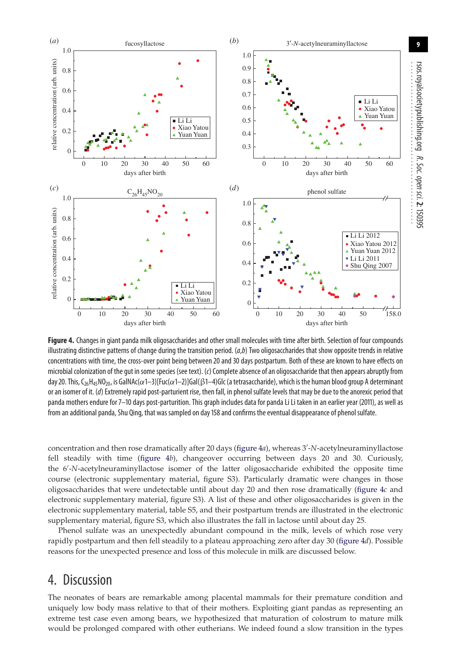

<span id="page-8-0"></span>**Figure 4.** Changes in giant panda milk oligosaccharides and other small molecules with time after birth. Selection of four compounds illustrating distinctive patterns of change during the transition period.  $(a,b)$  Two oligosaccharides that show opposite trends in relative concentrations with time, the cross-over point being between 20 and 30 days postpartum. Both of these are known to have effects on microbial colonization of the gut in some species (see text). (c) Complete absence of an oligosaccharide that then appears abruptly from day 20. This, C<sub>26</sub>H<sub>45</sub>NO<sub>20</sub>, is GalNAc( $\alpha$ 1–3)[Fuc( $\alpha$ 1–2)]Gal( $\beta$ 1–4)Glc (a tetrasaccharide), which is the human blood group A determinant or an isomer of it. (d) Extremely rapid post-parturient rise, then fall, in phenol sulfate levels that may be due to the anorexic period that panda mothers endure for 7–10 days post-parturition. This graph includes data for panda Li Li taken in an earlier year (2011), as well as from an additional panda, Shu Qing, that was sampled on day 158 and confirms the eventual disappearance of phenol sulfate.

concentration and then rose dramatically after 20 days [\(figure 4](#page-8-0)*a*), whereas 3 -*N*-acetylneuraminyllactose fell steadily with time [\(figure 4](#page-8-0)*b*), changeover occurring between days 20 and 30. Curiously, the 6 -*N*-acetylneuraminyllactose isomer of the latter oligosaccharide exhibited the opposite time course (electronic supplementary material, figure S3). Particularly dramatic were changes in those oligosaccharides that were undetectable until about day 20 and then rose dramatically [\(figure 4](#page-8-0)*c* and electronic supplementary material, figure S3). A list of these and other oligosaccharides is given in the electronic supplementary material, table S5, and their postpartum trends are illustrated in the electronic supplementary material, figure S3, which also illustrates the fall in lactose until about day 25.

Phenol sulfate was an unexpectedly abundant compound in the milk, levels of which rose very rapidly postpartum and then fell steadily to a plateau approaching zero after day 30 [\(figure 4](#page-8-0)*d*). Possible reasons for the unexpected presence and loss of this molecule in milk are discussed below.

# 4. Discussion

The neonates of bears are remarkable among placental mammals for their premature condition and uniquely low body mass relative to that of their mothers. Exploiting giant pandas as representing an extreme test case even among bears, we hypothesized that maturation of colostrum to mature milk would be prolonged compared with other eutherians. We indeed found a slow transition in the types

**9**

rsos.royalsocietypublishing.org

R. Soc.

open

sci.**2**: 150395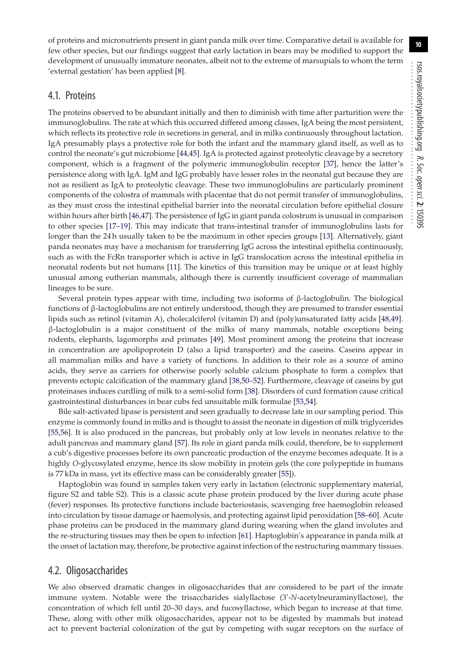of proteins and micronutrients present in giant panda milk over time. Comparative detail is available for few other species, but our findings suggest that early lactation in bears may be modified to support the development of unusually immature neonates, albeit not to the extreme of marsupials to whom the term 'external gestation' has been applied [\[8\]](#page-12-0).

#### 4.1. Proteins

The proteins observed to be abundant initially and then to diminish with time after parturition were the immunoglobulins. The rate at which this occurred differed among classes, IgA being the most persistent, which reflects its protective role in secretions in general, and in milks continuously throughout lactation. IgA presumably plays a protective role for both the infant and the mammary gland itself, as well as to control the neonate's gut microbiome [\[44,](#page-12-28)[45\]](#page-12-29). IgA is protected against proteolytic cleavage by a secretory component, which is a fragment of the polymeric immunoglobulin receptor [\[37\]](#page-12-23), hence the latter's persistence along with IgA. IgM and IgG probably have lesser roles in the neonatal gut because they are not as resilient as IgA to proteolytic cleavage. These two immunoglobulins are particularly prominent components of the colostra of mammals with placentae that do not permit transfer of immunoglobulins, as they must cross the intestinal epithelial barrier into the neonatal circulation before epithelial closure within hours after birth [\[46](#page-12-30)[,47\]](#page-12-31). The persistence of IgG in giant panda colostrum is unusual in comparison to other species [\[17–](#page-12-9)[19\]](#page-12-10). This may indicate that trans-intestinal transfer of immunoglobulins lasts for longer than the 24 h usually taken to be the maximum in other species groups [\[13\]](#page-12-5). Alternatively, giant panda neonates may have a mechanism for transferring IgG across the intestinal epithelia continuously, such as with the FcRn transporter which is active in IgG translocation across the intestinal epithelia in neonatal rodents but not humans [\[11\]](#page-12-3). The kinetics of this transition may be unique or at least highly unusual among eutherian mammals, although there is currently insufficient coverage of mammalian lineages to be sure.

Several protein types appear with time, including two isoforms of β-lactoglobulin. The biological functions of β-lactoglobulins are not entirely understood, though they are presumed to transfer essential lipids such as retinol (vitamin A), cholecalciferol (vitamin D) and (poly)unsaturated fatty acids [\[48](#page-12-32)[,49\]](#page-12-33). β-lactoglobulin is a major constituent of the milks of many mammals, notable exceptions being rodents, elephants, lagomorphs and primates [\[49\]](#page-12-33). Most prominent among the proteins that increase in concentration are apolipoprotein D (also a lipid transporter) and the caseins. Caseins appear in all mammalian milks and have a variety of functions. In addition to their role as a source of amino acids, they serve as carriers for otherwise poorly soluble calcium phosphate to form a complex that prevents ectopic calcification of the mammary gland [\[38](#page-12-24)[,50–](#page-12-34)[52\]](#page-12-35). Furthermore, cleavage of caseins by gut proteinases induces curdling of milk to a semi-solid form [\[38\]](#page-12-24). Disorders of curd formation cause critical gastrointestinal disturbances in bear cubs fed unsuitable milk formulae [\[53,](#page-12-36)[54\]](#page-13-0).

Bile salt-activated lipase is persistent and seen gradually to decrease late in our sampling period. This enzyme is commonly found in milks and is thought to assist the neonate in digestion of milk triglycerides [\[55,](#page-13-1)[56\]](#page-13-2). It is also produced in the pancreas, but probably only at low levels in neonates relative to the adult pancreas and mammary gland [\[57\]](#page-13-3). Its role in giant panda milk could, therefore, be to supplement a cub's digestive processes before its own pancreatic production of the enzyme becomes adequate. It is a highly *O*-glycosylated enzyme, hence its slow mobility in protein gels (the core polypeptide in humans is 77 kDa in mass, yet its effective mass can be considerably greater [\[55\]](#page-13-1)).

Haptoglobin was found in samples taken very early in lactation (electronic supplementary material, figure S2 and table S2). This is a classic acute phase protein produced by the liver during acute phase (fever) responses. Its protective functions include bacteriostasis, scavenging free haemoglobin released into circulation by tissue damage or haemolysis, and protecting against lipid peroxidation [\[58–](#page-13-4)[60\]](#page-13-5). Acute phase proteins can be produced in the mammary gland during weaning when the gland involutes and the re-structuring tissues may then be open to infection [\[61\]](#page-13-6). Haptoglobin's appearance in panda milk at the onset of lactation may, therefore, be protective against infection of the restructuring mammary tissues.

#### 4.2. Oligosaccharides

We also observed dramatic changes in oligosaccharides that are considered to be part of the innate immune system. Notable were the trisaccharides sialyllactose (3 -*N*-acetylneuraminyllactose), the concentration of which fell until 20–30 days, and fucosyllactose, which began to increase at that time. These, along with other milk oligosaccharides, appear not to be digested by mammals but instead act to prevent bacterial colonization of the gut by competing with sugar receptors on the surface of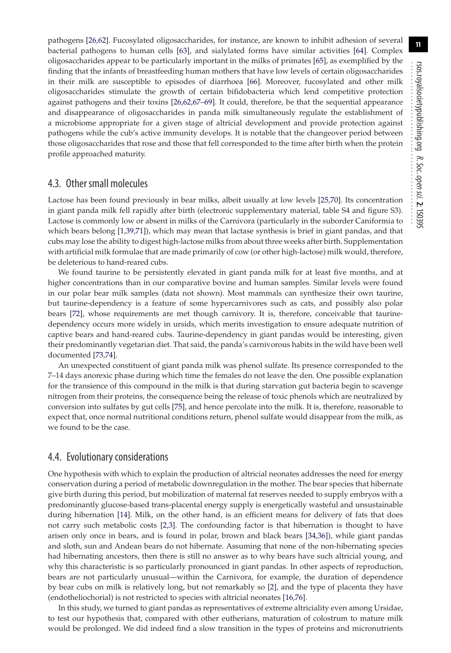pathogens [\[26](#page-12-13)[,62\]](#page-13-7). Fucosylated oligosaccharides, for instance, are known to inhibit adhesion of several bacterial pathogens to human cells [\[63\]](#page-13-8), and sialylated forms have similar activities [\[64\]](#page-13-9). Complex oligosaccharides appear to be particularly important in the milks of primates [\[65\]](#page-13-10), as exemplified by the finding that the infants of breastfeeding human mothers that have low levels of certain oligosaccharides in their milk are susceptible to episodes of diarrhoea [\[66\]](#page-13-11). Moreover, fucosylated and other milk oligosaccharides stimulate the growth of certain bifidobacteria which lend competitive protection against pathogens and their toxins [\[26,](#page-12-13)[62](#page-13-7)[,67–](#page-13-12)[69\]](#page-13-13). It could, therefore, be that the sequential appearance and disappearance of oligosaccharides in panda milk simultaneously regulate the establishment of a microbiome appropriate for a given stage of altricial development and provide protection against pathogens while the cub's active immunity develops. It is notable that the changeover period between those oligosaccharides that rose and those that fell corresponded to the time after birth when the protein profile approached maturity.

#### 4.3. Other small molecules

Lactose has been found previously in bear milks, albeit usually at low levels [\[25](#page-12-12)[,70\]](#page-13-14). Its concentration in giant panda milk fell rapidly after birth (electronic supplementary material, table S4 and figure S3). Lactose is commonly low or absent in milks of the Carnivora (particularly in the suborder Caniformia to which bears belong [\[1,](#page-11-0)[39,](#page-12-25)[71\]](#page-13-15)), which may mean that lactase synthesis is brief in giant pandas, and that cubs may lose the ability to digest high-lactose milks from about three weeks after birth. Supplementation with artificial milk formulae that are made primarily of cow (or other high-lactose) milk would, therefore, be deleterious to hand-reared cubs.

We found taurine to be persistently elevated in giant panda milk for at least five months, and at higher concentrations than in our comparative bovine and human samples. Similar levels were found in our polar bear milk samples (data not shown). Most mammals can synthesize their own taurine, but taurine-dependency is a feature of some hypercarnivores such as cats, and possibly also polar bears [\[72\]](#page-13-16), whose requirements are met though carnivory. It is, therefore, conceivable that taurinedependency occurs more widely in ursids, which merits investigation to ensure adequate nutrition of captive bears and hand-reared cubs. Taurine-dependency in giant pandas would be interesting, given their predominantly vegetarian diet. That said, the panda's carnivorous habits in the wild have been well documented [\[73,](#page-13-17)[74\]](#page-13-18).

An unexpected constituent of giant panda milk was phenol sulfate. Its presence corresponded to the 7–14 days anorexic phase during which time the females do not leave the den. One possible explanation for the transience of this compound in the milk is that during starvation gut bacteria begin to scavenge nitrogen from their proteins, the consequence being the release of toxic phenols which are neutralized by conversion into sulfates by gut cells [\[75\]](#page-13-19), and hence percolate into the milk. It is, therefore, reasonable to expect that, once normal nutritional conditions return, phenol sulfate would disappear from the milk, as we found to be the case.

#### 4.4. Evolutionary considerations

One hypothesis with which to explain the production of altricial neonates addresses the need for energy conservation during a period of metabolic downregulation in the mother. The bear species that hibernate give birth during this period, but mobilization of maternal fat reserves needed to supply embryos with a predominantly glucose-based trans-placental energy supply is energetically wasteful and unsustainable during hibernation [\[14\]](#page-12-6). Milk, on the other hand, is an efficient means for delivery of fats that does not carry such metabolic costs [\[2](#page-11-5)[,3\]](#page-11-1). The confounding factor is that hibernation is thought to have arisen only once in bears, and is found in polar, brown and black bears [\[34,](#page-12-21)[36\]](#page-12-22)), while giant pandas and sloth, sun and Andean bears do not hibernate. Assuming that none of the non-hibernating species had hibernating ancestors, then there is still no answer as to why bears have such altricial young, and why this characteristic is so particularly pronounced in giant pandas. In other aspects of reproduction, bears are not particularly unusual—within the Carnivora, for example, the duration of dependence by bear cubs on milk is relatively long, but not remarkably so [\[2\]](#page-11-5), and the type of placenta they have (endotheliochorial) is not restricted to species with altricial neonates [\[16,](#page-12-8)[76\]](#page-13-20).

In this study, we turned to giant pandas as representatives of extreme altriciality even among Ursidae, to test our hypothesis that, compared with other eutherians, maturation of colostrum to mature milk would be prolonged. We did indeed find a slow transition in the types of proteins and micronutrients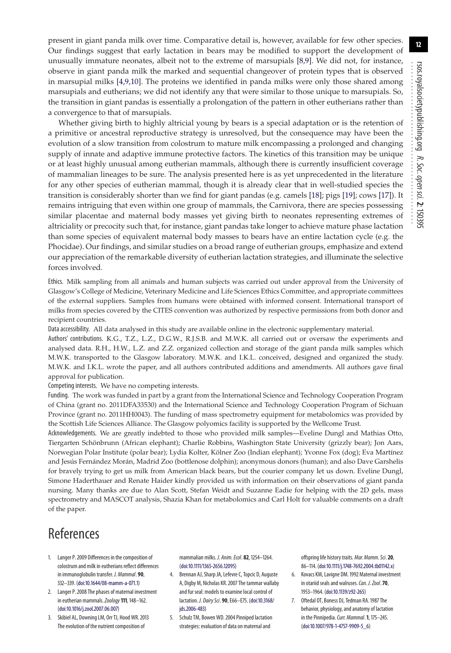present in giant panda milk over time. Comparative detail is, however, available for few other species. Our findings suggest that early lactation in bears may be modified to support the development of unusually immature neonates, albeit not to the extreme of marsupials [\[8](#page-12-0)[,9\]](#page-12-1). We did not, for instance, observe in giant panda milk the marked and sequential changeover of protein types that is observed in marsupial milks [\[4](#page-11-2)[,9](#page-12-1)[,10\]](#page-12-2). The proteins we identified in panda milks were only those shared among marsupials and eutherians; we did not identify any that were similar to those unique to marsupials. So, the transition in giant pandas is essentially a prolongation of the pattern in other eutherians rather than a convergence to that of marsupials.

Whether giving birth to highly altricial young by bears is a special adaptation or is the retention of a primitive or ancestral reproductive strategy is unresolved, but the consequence may have been the evolution of a slow transition from colostrum to mature milk encompassing a prolonged and changing supply of innate and adaptive immune protective factors. The kinetics of this transition may be unique or at least highly unusual among eutherian mammals, although there is currently insufficient coverage of mammalian lineages to be sure. The analysis presented here is as yet unprecedented in the literature for any other species of eutherian mammal, though it is already clear that in well-studied species the transition is considerably shorter than we find for giant pandas (e.g. camels [\[18\]](#page-12-37); pigs [\[19\]](#page-12-10); cows [\[17\]](#page-12-9)). It remains intriguing that even within one group of mammals, the Carnivora, there are species possessing similar placentae and maternal body masses yet giving birth to neonates representing extremes of altriciality or precocity such that, for instance, giant pandas take longer to achieve mature phase lactation than some species of equivalent maternal body masses to bears have an entire lactation cycle (e.g. the Phocidae). Our findings, and similar studies on a broad range of eutherian groups, emphasize and extend our appreciation of the remarkable diversity of eutherian lactation strategies, and illuminate the selective forces involved.

Ethics. Milk sampling from all animals and human subjects was carried out under approval from the University of Glasgow's College of Medicine, Veterinary Medicine and Life Sciences Ethics Committee, and appropriate committees of the external suppliers. Samples from humans were obtained with informed consent. International transport of milks from species covered by the CITES convention was authorized by respective permissions from both donor and recipient countries.

Data accessibility. All data analysed in this study are available online in the electronic supplementary material.

Authors' contributions. K.G., T.Z., L.Z., D.G.W., R.J.S.B. and M.W.K. all carried out or oversaw the experiments and analysed data. R.H., H.W., L.Z. and Z.Z. organized collection and storage of the giant panda milk samples which M.W.K. transported to the Glasgow laboratory. M.W.K. and I.K.L. conceived, designed and organized the study. M.W.K. and I.K.L. wrote the paper, and all authors contributed additions and amendments. All authors gave final approval for publication.

Competing interests. We have no competing interests.

Funding. The work was funded in part by a grant from the International Science and Technology Cooperation Program of China (grant no. 2011DFA33530) and the International Science and Technology Cooperation Program of Sichuan Province (grant no. 2011HH0043). The funding of mass spectrometry equipment for metabolomics was provided by the Scottish Life Sciences Alliance. The Glasgow polyomics facility is supported by the Wellcome Trust.

Acknowledgements. We are greatly indebted to those who provided milk samples—Eveline Dungl and Mathias Otto, Tiergarten Schönbrunn (African elephant); Charlie Robbins, Washington State University (grizzly bear); Jon Aars, Norwegian Polar Institute (polar bear); Lydia Kolter, Kölner Zoo (Indian elephant); Yvonne Fox (dog); Eva Martínez and Jesús Fernández Morán, Madrid Zoo (bottlenose dolphin); anonymous donors (human); and also Dave Garshelis for bravely trying to get us milk from American black bears, but the courier company let us down. Eveline Dungl, Simone Haderthauer and Renate Haider kindly provided us with information on their observations of giant panda nursing. Many thanks are due to Alan Scott, Stefan Weidt and Suzanne Eadie for helping with the 2D gels, mass spectrometry and MASCOT analysis, Shazia Khan for metabolomics and Carl Holt for valuable comments on a draft of the paper.

# References

- <span id="page-11-0"></span>1. Langer P. 2009 Differences in the composition of colostrum and milk in eutherians reflect differences in immunoglobulin transfer. J. Mammal. **90**, 332–339. [\(doi:10.1644/08-mamm-a-071.1\)](http://dx.doi.org/doi:10.1644/08-mamm-a-071.1)
- <span id="page-11-5"></span>2. Langer P. 2008 The phases of maternal investment in eutherian mammals.Zoology **111**, 148–162. [\(doi:10.1016/j.zool.2007.06.007\)](http://dx.doi.org/doi:10.1016/j.zool.2007.06.007)
- <span id="page-11-1"></span>3. Skibiel AL, Downing LM, Orr TJ, Hood WR. 2013 The evolution of the nutrient composition of

mammalian milks. J. Anim. Ecol. **82**, 1254–1264. [\(doi:10.1111/1365-2656.12095\)](http://dx.doi.org/doi:10.1111/1365-2656.12095)

- <span id="page-11-2"></span>4. Brennan AJ, Sharp JA, Lefevre C, Topcic D, Auguste A, Digby M, Nicholas KR. 2007 The tammar wallaby and fur seal: models to examine local control of lactation. J. Dairy Sci. **90**, E66–E75. [\(doi:10.3168/](http://dx.doi.org/doi:10.3168/jds.2006-483) [jds.2006-483\)](http://dx.doi.org/doi:10.3168/jds.2006-483)
- <span id="page-11-3"></span>5. Schulz TM, Bowen WD. 2004 Pinniped lactation strategies: evaluation of data on maternal and

offspring life history traits. Mar. Mamm. Sci.**20**, 86–114. [\(doi:10.1111/j.1748-7692.2004.tb01142.x\)](http://dx.doi.org/doi:10.1111/j.1748-7692.2004.tb01142.x)

- 6. Kovacs KM, Lavigne DM. 1992 Maternal investment in otariid seals and walruses. Can. J. Zool. 70, 1953–1964. [\(doi:10.1139/z92-265\)](http://dx.doi.org/doi:10.1139/z92-265)
- <span id="page-11-4"></span>7. Oftedal OT, Boness DJ, Tedman RA. 1987 The behavior, physiology, and anatomy of lactation in the Pinnipedia. Curr. Mammal. 1, 175-245. [\(doi:10.1007/978-1-4757-9909-5\\_6\)](http://dx.doi.org/doi:10.1007/978-1-4757-9909-5_6)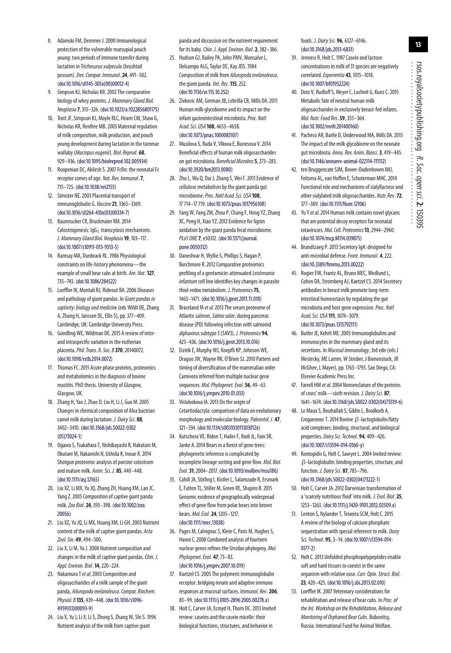- <span id="page-12-0"></span>8. Adamski FM, Demmer J. 2000 Immunological protection of the vulnerable marsupial pouch young: two periods of immune transfer during lactation in Trichosurus vulpecula (brushtail possum). Dev. Compar. Immunol.**24**, 491–502. [\(doi:10.1016/s0145-305x\(00\)00012-4\)](http://dx.doi.org/doi:10.1016/s0145-305x(00)00012-4)
- <span id="page-12-1"></span>9. Simpson KJ, Nicholas KR. 2002 The comparative biology of whey proteins. J. Mammary Gland Biol. Neoplasia**7**, 313–326. [\(doi:10.1023/a:1022856801175\)](http://dx.doi.org/doi:10.1023/a:1022856801175)
- <span id="page-12-2"></span>10. Trott JF, Simpson KJ, Moyle RLC, Hearn CM, Shaw G, Nicholas KR, Renfree MB. 2003 Maternal regulation of milk composition, milk production, and pouch young development during lactation in the tammar wallaby (Macropus eugenii). Biol. Reprod. **68**, 929–936. [\(doi:10.1095/biolreprod.102.005934\)](http://dx.doi.org/doi:10.1095/biolreprod.102.005934)
- <span id="page-12-3"></span>11. Roopenian DC, Akilesh S. 2007 FcRn: the neonatal Fc receptor comes of age. Nat. Rev. Immunol.**7**, 715–725. [\(doi:10.1038/nri2155\)](http://dx.doi.org/doi:10.1038/nri2155)
- <span id="page-12-4"></span>12. Simister NE. 2003 Placental transport of immunoglobulin G. Vaccine**21**, 3365–3369. [\(doi:10.1016/s0264-410x\(03\)00334-7\)](http://dx.doi.org/doi:10.1016/s0264-410x(03)00334-7)
- <span id="page-12-5"></span>13. Baumrucker CR, Bruckmaier RM. 2014 Colostrogenesis: IgG<sub>1</sub> transcytosis mechanisms. J. Mammary Gland Biol. Neoplasia**19**, 103–117. [\(doi:10.1007/s10911-013-9313-5\)](http://dx.doi.org/doi:10.1007/s10911-013-9313-5)
- <span id="page-12-6"></span>14. Ramsay MA, Dunbrack RL. 1986 Physiological constraints on life-history phenomena—the example of small bear cubs at birth. Am. Nat.**127**, 735–743. [\(doi:10.1086/284522\)](http://dx.doi.org/doi:10.1086/284522)
- <span id="page-12-7"></span>15. Loeffler IK, Montali RJ, Rideout BA. 2006 Diseases and pathology of giant pandas. In Giant pandas in captivity: biology and medicine (eds Wildt DE, Zhang A, Zhang H, Janssen DL, Ellis S), pp. 377–409. Cambridge, UK: Cambridge University Press.
- <span id="page-12-8"></span>16. Gundling WE, Wildman DE. 2015 A review of interand intraspecific variation in the eutherian placenta.Phil. Trans. R. Soc. B **370**, 20140072. [\(doi:10.1098/rstb.2014.0072\)](http://dx.doi.org/doi:10.1098/rstb.2014.0072)
- <span id="page-12-9"></span>17. Thomas FC. 2015 Acute phase proteins, proteomics and metabolomics in the diagnosis of bovine mastitis. PhD thesis. University of Glasgow, Glasgow, UK.
- <span id="page-12-37"></span>18. Zhang H, Yao J, Zhao D, Liu H, Li J, Guo M. 2005 Changes in chemical composition of Alxa bactrian camel milk during lactation. J. Dairy Sci. **88**, 3402–3410. [\(doi:10.3168/jds.S0022-0302](http://dx.doi.org/doi:10.3168/jds.S0022-0302(05)73024-1) [\(05\)73024-1\)](http://dx.doi.org/doi:10.3168/jds.S0022-0302(05)73024-1)
- <span id="page-12-10"></span>19. Ogawa S, Tsukahara T, Nishibayashi R, Nakatani M, Okutani M, Nakanishi N, Ushida K, Inoue R. 2014 Shotgun proteomic analysis of porcine colostrum and mature milk. Anim. Sci. J. **85**, 440–448. [\(doi:10.1111/asj.12165\)](http://dx.doi.org/doi:10.1111/asj.12165)
- <span id="page-12-11"></span>20. Liu XZ, Li MX, Yu JQ, Zhang ZH, Huang XM, Lan JC, Yang Z. 2005 Composition of captive giant panda milk.Zoo Biol.**24**, 393–398. [\(doi:10.1002/zoo.](http://dx.doi.org/doi:10.1002/zoo.20056) [20056\)](http://dx.doi.org/doi:10.1002/zoo.20056)
- 21. Liu XZ, Yu JQ, Li MX, Huang XM, Li GH. 2003 Nutrient content of the milk of captive giant pandas. Acta Zool. Sin. **49**, 494–500.
- 22. Liu X, Li M, Yu J. 2008 Nutrient composition and changes in the milk of captive giant pandas. Chin. J. Appl. Environ. Biol.**14**, 220–224.
- 23. Nakamura T et al. 2003 Composition and oligosaccharides of a milk sample of the giant panda, Ailuropoda melanoleuca. Compar. Biochem. Physiol. B **135**, 439–448. [\(doi:10.1016/s1096-](http://dx.doi.org/doi:10.1016/s1096-4959(03)00093-9) [4959\(03\)00093-9\)](http://dx.doi.org/doi:10.1016/s1096-4959(03)00093-9)
- 24. Liu X, Yu J, Li X, Li S, Zhong S, Zhang W, Shi S. 1996 Nutrient analysis of the milk from captive giant

panda and discussion on the nutrient requirement for its baby.Chin. J. Appl. Environ. Biol.**2**, 382–386.

- <span id="page-12-12"></span>25. Hudson GJ, Bailey PA, John PMV, Monsalve L, Delcampo ALG, Taylor DC, Kay JDS. 1984 Composition of milk from Ailuropoda melanoleuca, the giant panda. Vet. Rec.**115**, 252. [\(doi:10.1136/vr.115.10.252\)](http://dx.doi.org/doi:10.1136/vr.115.10.252)
- <span id="page-12-13"></span>26. Zivkovic AM, German JB, Lebrilla CB, Mills DA. 2011 Human milk glycobiome and its impact on the infant gastrointestinal microbiota. Proc. Natl Acad. Sci. USA **108**, 4653–4658. [\(doi:10.1073/pnas.1000083107\)](http://dx.doi.org/doi:10.1073/pnas.1000083107)
- <span id="page-12-14"></span>27. Musilova S, Rada V, Vlkova E, Bunesova V. 2014 Beneficial effects of human milk oligosaccharides on gut microbiota. Beneficial Microbes**5**, 273–283. [\(doi:10.3920/bm2013.0080\)](http://dx.doi.org/doi:10.3920/bm2013.0080)
- <span id="page-12-15"></span>28. Zhu L, Wu Q, Dai J, Zhang S, Wei F. 2011 Evidence of cellulose metabolism by the giant panda gut microbiome.Proc. Natl Acad. Sci. USA **108**, 17 714–17 719. [\(doi:10.1073/pnas.1017956108\)](http://dx.doi.org/doi:10.1073/pnas.1017956108)
- <span id="page-12-16"></span>29. Fang W, Fang ZM, Zhou P, Chang F, Hong YZ, Zhang XC, Peng H, Xiao YZ. 2012 Evidence for lignin oxidation by the giant panda fecal microbiome. PLoS ONE **7**, e50312. [\(doi:10.1371/journal.](http://dx.doi.org/doi:10.1371/journal.pone.0050312) [pone.0050312\)](http://dx.doi.org/doi:10.1371/journal.pone.0050312)
- <span id="page-12-17"></span>30. Daneshvar H, Wyllie S, Phillips S, Hagan P, Burchmore R. 2012 Comparative proteomics profiling of a gentamicin-attenuated Leishmania infantum cell line identifies key changes in parasite thiol-redox metabolism. J. Proteomics**75**, 1463–1471. [\(doi:10.1016/j.jprot.2011.11.018\)](http://dx.doi.org/doi:10.1016/j.jprot.2011.11.018)
- <span id="page-12-18"></span>31. Braceland M et al. 2013 The serum proteome of Atlantic salmon, Salmo salar, during pancreas disease (PD) following infection with salmonid alphavirus subtype 3 (SAV3). J. Proteomics **94**, 423–436. [\(doi:10.1016/j.jprot.2013.10.016\)](http://dx.doi.org/doi:10.1016/j.jprot.2013.10.016)
- <span id="page-12-19"></span>32. Eizirik E, Murphy WJ, Koepfli KP, Johnson WE, Dragoo JW, Wayne RK, O'Brien SJ. 2010 Pattern and timing of diversification of the mammalian order Carnivora inferred from multiple nuclear gene sequences. Mol. Phylogenet. Evol.**56**, 49–63. [\(doi:10.1016/j.ympev.2010.01.033\)](http://dx.doi.org/doi:10.1016/j.ympev.2010.01.033)
- <span id="page-12-20"></span>33. Vislobokova IA. 2013 On the origin of Cetartiodactyla: comparison of data on evolutionary morphology and molecular biology.Paleontol. J. **47**, 321–334. [\(doi:10.1134/s003103011303012x\)](http://dx.doi.org/doi:10.1134/s003103011303012x)
- <span id="page-12-21"></span>34. Kutschera VE, Bidon T, Hailer F, Rodi JL, Fain SR, Janke A. 2014 Bears in a forest of gene trees: phylogenetic inference is complicated by incomplete lineage sorting and gene flow. Mol. Biol. Evol.**31**, 2004–2017. [\(doi:10.1093/molbev/msu186\)](http://dx.doi.org/doi:10.1093/molbev/msu186)
- 35. Cahill JA, Stirling I, Kistler L, Salamzade R, Ersmark E, Fulton TL, Stiller M, Green RE, Shapiro B. 2015 Genomic evidence of geographically widespread effect of gene flow from polar bears into brown bears. Mol. Ecol.**24**, 1205–1217. [\(doi:10.1111/mec.13038\)](http://dx.doi.org/doi:10.1111/mec.13038)
- <span id="page-12-22"></span>36. Pages M, Calvignac S, Klein C, Paris M, Hughes S, Hanni C. 2008 Combined analysis of fourteen nuclear genes refines the Ursidae phylogeny. Mol. Phylogenet. Evol. **47**, 73–83. [\(doi:10.1016/j.ympev.2007.10.019\)](http://dx.doi.org/doi:10.1016/j.ympev.2007.10.019)
- <span id="page-12-23"></span>37. Kaetzel CS. 2005 The polymeric immunoglobulin receptor: bridging innate and adaptive immune responses at mucosal surfaces. Immunol. Rev.**206**, 83–99. [\(doi:10.1111/j.0105-2896.2005.00278.x\)](http://dx.doi.org/doi:10.1111/j.0105-2896.2005.00278.x)
- <span id="page-12-24"></span>38. Holt C, Carver JA, Ecroyd H, Thorn DC. 2013 Invited review: caseins and the casein micelle: their biological functions, structures, and behavior in

foods. J. Dairy Sci. **96**, 6127–6146. [\(doi:10.3168/jds.2013-6831\)](http://dx.doi.org/doi:10.3168/jds.2013-6831)

- <span id="page-12-25"></span>39. Jenness R, Holt C. 1987 Casein and lactose concentrations in milk of 31 species are negatively correlated.Experientia **43**, 1015–1018. [\(doi:10.1007/bf01952224\)](http://dx.doi.org/doi:10.1007/bf01952224)
- <span id="page-12-26"></span>40. Dotz V, Rudloff S, Meyer C, Lochnit G, Kunz C. 2015 Metabolic fate of neutral human milk oligosaccharides in exclusively breast-fed infants. Mol. Nutr. Food Res.**59**, 355–364. [\(doi:10.1002/mnfr.201400160\)](http://dx.doi.org/doi:10.1002/mnfr.201400160)
- 41. Pacheco AR, Barile D, Underwood MA, Mills DA. 2015 The impact of the milk glycobiome on the neonate gut microbiota. Annu. Rev. Anim. Biosci.**3**, 419–445. [\(doi:10.1146/annurev-animal-022114-111112\)](http://dx.doi.org/doi:10.1146/annurev-animal-022114-111112)
- 42. ten Bruggencate SJM, Bovee-Oudenhoven IMJ, Feitsma AL, van Hoffen E, Schoterman MHC. 2014 Functional role and mechanisms of sialyllactose and other sialylated milk oligosaccharides. Nutr. Rev.**72**, 377–389. [\(doi:10.1111/Nure.12106\)](http://dx.doi.org/doi:10.1111/Nure.12106)
- <span id="page-12-27"></span>43. Yu Y et al. 2014 Human milk contains novel glycans that are potential decoy receptors for neonatal rotaviruses. Mol. Cell. Proteomics**13**, 2944–2960. [\(doi:10.1074/mcp.M114.039875\)](http://dx.doi.org/doi:10.1074/mcp.M114.039875)
- <span id="page-12-28"></span>44. Brandtzaeg P. 2013 Secretory IgA: designed for anti-microbial defense.Front. Immunol. **4**, 222. [\(doi:10.3389/fimmu.2013.00222\)](http://dx.doi.org/doi:10.3389/fimmu.2013.00222)
- <span id="page-12-29"></span>45. Rogier EW, Frantz AL, Bruno MEC, Wedlund L, Cohen DA, Stromberg AJ, Kaetzel CS. 2014 Secretory antibodies in breast milk promote long-term intestinal homeostasis by regulating the gut microbiota and host gene expression. Proc. Natl Acad. Sci. USA **111**, 3074–3079. [\(doi:10.1073/pnas.1315792111\)](http://dx.doi.org/doi:10.1073/pnas.1315792111)
- <span id="page-12-30"></span>46. Butler JE, Kehrli ME. 2005 Immunoglobulins and immunocytes in the mammary gland and its secretions. In Mucosal immunology, 3rd edn (eds J Mestecky, ME Lamm, W Strober, J Bienenstock, JR McGhee, L Mayer), pp. 1763–1793. San Diego, CA: Elsevier Academic Press Inc.
- <span id="page-12-31"></span>47. Farrell HM et al. 2004 Nomenclature of the proteins of cows' milk—sixth revision. J. Dairy Sci. **87**, 1641–1674. [\(doi:10.3168/jds.S0022-0302\(04\)73319-6\)](http://dx.doi.org/doi:10.3168/jds.S0022-0302(04)73319-6)
- <span id="page-12-32"></span>48. Le Maux S, Bouhallab S, Giblin L, Brodkorb A, Croguennec T. 2014 Bovine β-lactoglobulin/fatty acid complexes: binding, structural, and biological properties. Dairy Sci. Technol. **94**, 409–426. [\(doi:10.1007/s13594-014-0160-y\)](http://dx.doi.org/doi:10.1007/s13594-014-0160-y)
- <span id="page-12-33"></span>49. Kontopidis G, Holt C, Sawyer L. 2004 Invited review: β-lactoglobulin: binding properties, structure, and function. J. Dairy Sci. **87**, 785–796. [\(doi:10.3168/jds.S0022-0302\(04\)73222-1\)](http://dx.doi.org/doi:10.3168/jds.S0022-0302(04)73222-1)
- <span id="page-12-34"></span>50. Holt C, Carver JA. 2012 Darwinian transformation of a 'scarcely nutritious fluid' into milk. J. Evol. Biol.**25**, 1253–1263. [\(doi:10.1111/j.1420-9101.2012.02509.x\)](http://dx.doi.org/doi:10.1111/j.1420-9101.2012.02509.x)
- 51. Lenton S, Nylander T, Teixeira SCM, Holt C. 2015 A review of the biology of calcium phosphate sequestration with special reference to milk. Dairy Sci. Technol. **95**, 3–14. [\(doi:10.1007/s13594-014-](http://dx.doi.org/doi:10.1007/s13594-014-0177-2) [0177-2\)](http://dx.doi.org/doi:10.1007/s13594-014-0177-2)
- <span id="page-12-35"></span>52. Holt C. 2013 Unfolded phosphopolypeptides enable soft and hard tissues to coexist in the same organism with relative ease. Curr. Opin. Struct. Biol. **23**, 420–425. [\(doi:10.1016/j.sbi.2013.02.010\)](http://dx.doi.org/doi:10.1016/j.sbi.2013.02.010)
- <span id="page-12-36"></span>53. Loeffler IK. 2007 Veterinary considerations for rehabilitation and release of bear cubs. In Proc. of the Int. Workshop on the Rehabilitation, Release and Monitoring of Orphaned Bear Cubs. Bubonitsy, Russia: International Fund for Animal Welfare.

................................................